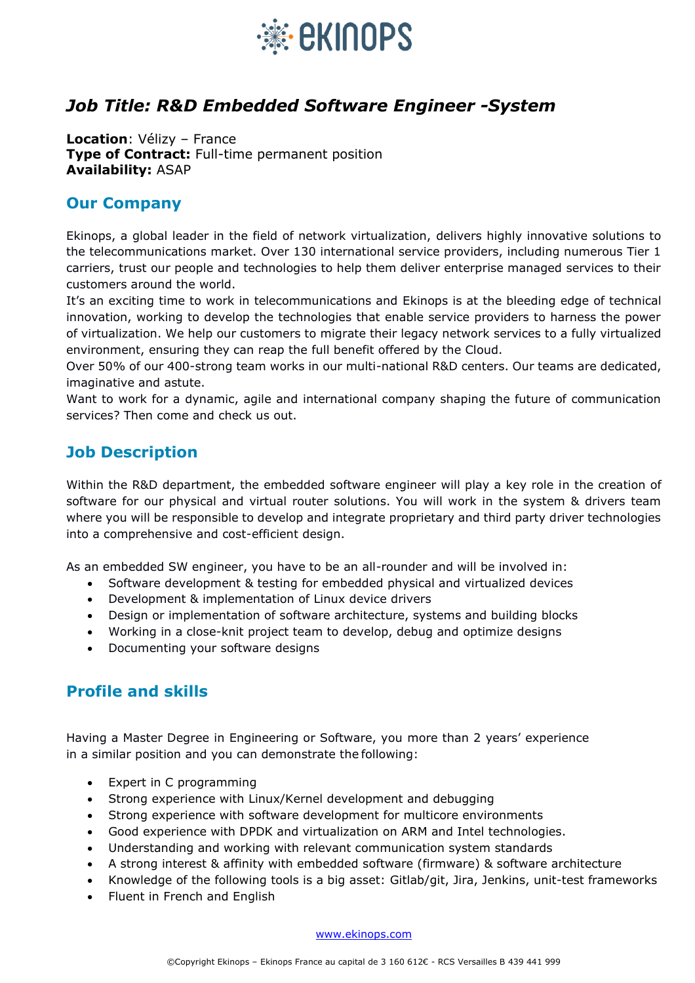

## *Job Title: R&D Embedded Software Engineer -System*

**Location**: Vélizy – France **Type of Contract:** Full-time permanent position **Availability:** ASAP

## **Our Company**

Ekinops, a global leader in the field of network virtualization, delivers highly innovative solutions to the telecommunications market. Over 130 international service providers, including numerous Tier 1 carriers, trust our people and technologies to help them deliver enterprise managed services to their customers around the world.

It's an exciting time to work in telecommunications and Ekinops is at the bleeding edge of technical innovation, working to develop the technologies that enable service providers to harness the power of virtualization. We help our customers to migrate their legacy network services to a fully virtualized environment, ensuring they can reap the full benefit offered by the Cloud.

Over 50% of our 400-strong team works in our multi-national R&D centers. Our teams are dedicated, imaginative and astute.

Want to work for a dynamic, agile and international company shaping the future of communication services? Then come and check us out.

## **Job Description**

Within the R&D department, the embedded software engineer will play a key role in the creation of software for our physical and virtual router solutions. You will work in the system & drivers team where you will be responsible to develop and integrate proprietary and third party driver technologies into a comprehensive and cost-efficient design.

As an embedded SW engineer, you have to be an all-rounder and will be involved in:

- Software development & testing for embedded physical and virtualized devices
- Development & implementation of Linux device drivers
- Design or implementation of software architecture, systems and building blocks
- Working in a close-knit project team to develop, debug and optimize designs
- Documenting your software designs

## **Profile and skills**

Having a Master Degree in Engineering or Software, you more than 2 years' experience in a similar position and you can demonstrate the following:

- Expert in C programming
- Strong experience with Linux/Kernel development and debugging
- Strong experience with software development for multicore environments
- Good experience with DPDK and virtualization on ARM and Intel technologies.
- Understanding and working with relevant communication system standards
- A strong interest & affinity with embedded software (firmware) & software architecture
- Knowledge of the following tools is a big asset: Gitlab/git, Jira, Jenkins, unit-test frameworks
- Fluent in French and English

[www.ekinops.com](https://www.ekinops.com/)